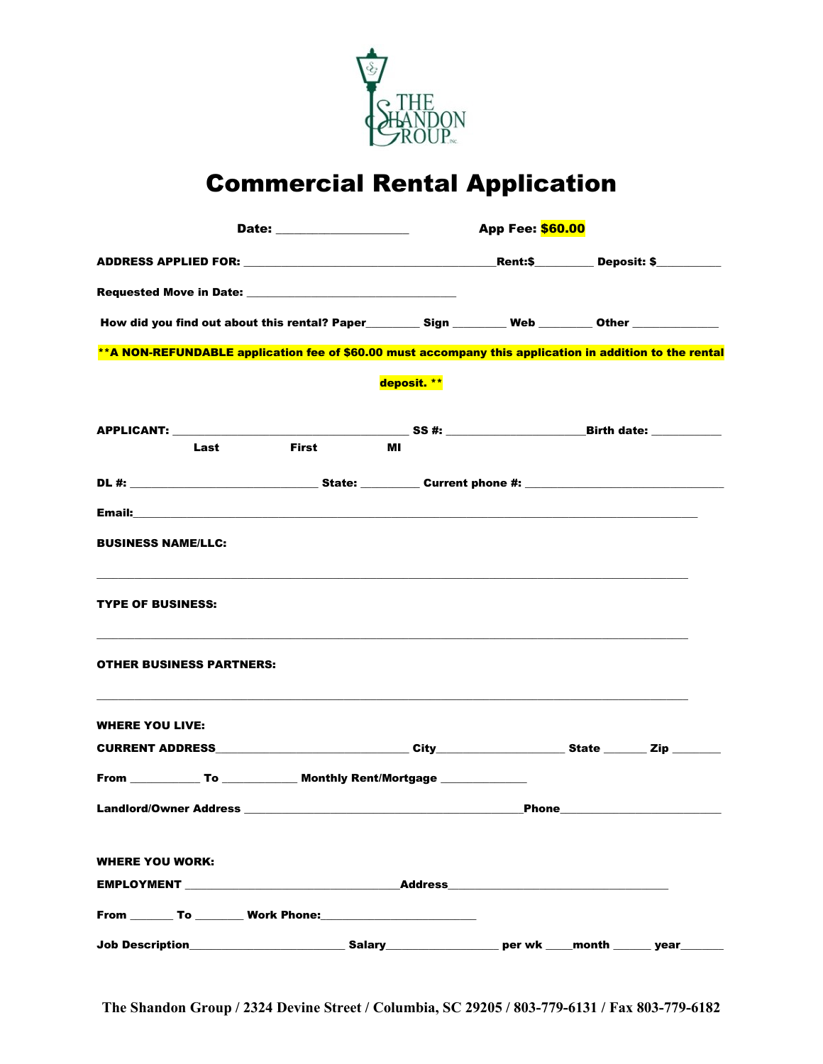

## Commercial Rental Application

|                                 | Date: ___________________                                                                               |             | App Fee: \$60.00                |  |
|---------------------------------|---------------------------------------------------------------------------------------------------------|-------------|---------------------------------|--|
|                                 |                                                                                                         |             |                                 |  |
|                                 |                                                                                                         |             |                                 |  |
|                                 | How did you find out about this rental? Paper___________Sign __________Web _________Other __________    |             |                                 |  |
|                                 | **A NON-REFUNDABLE application fee of \$60.00 must accompany this application in addition to the rental |             |                                 |  |
|                                 |                                                                                                         | deposit. ** |                                 |  |
|                                 |                                                                                                         |             |                                 |  |
| Last                            | <b>First</b>                                                                                            | MI          |                                 |  |
|                                 |                                                                                                         |             |                                 |  |
|                                 |                                                                                                         |             |                                 |  |
| <b>BUSINESS NAME/LLC:</b>       |                                                                                                         |             |                                 |  |
| <b>TYPE OF BUSINESS:</b>        |                                                                                                         |             |                                 |  |
| <b>OTHER BUSINESS PARTNERS:</b> |                                                                                                         |             |                                 |  |
| <b>WHERE YOU LIVE:</b>          |                                                                                                         |             |                                 |  |
|                                 |                                                                                                         |             |                                 |  |
|                                 |                                                                                                         |             |                                 |  |
|                                 |                                                                                                         |             |                                 |  |
| <b>WHERE YOU WORK:</b>          |                                                                                                         |             |                                 |  |
|                                 | EMPLOYMENT EMPLOYMENT                                                                                   |             | <b>Address Exercise Address</b> |  |
|                                 |                                                                                                         |             |                                 |  |
|                                 |                                                                                                         |             |                                 |  |